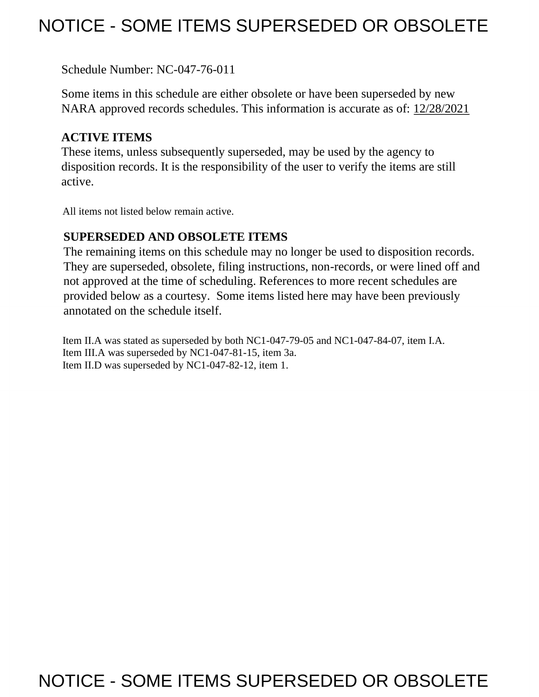# NOTICE - SOME ITEMS SUPERSEDED OR OBSOLETE

Schedule Number: NC-047-76-011

 Some items in this schedule are either obsolete or have been superseded by new NARA approved records schedules. This information is accurate as of: 12/28/2021

## **ACTIVE ITEMS**

 These items, unless subsequently superseded, may be used by the agency to disposition records. It is the responsibility of the user to verify the items are still active.

All items not listed below remain active.

## **SUPERSEDED AND OBSOLETE ITEMS**

 The remaining items on this schedule may no longer be used to disposition records. not approved at the time of scheduling. References to more recent schedules are provided below as a courtesy. Some items listed here may have been previously They are superseded, obsolete, filing instructions, non-records, or were lined off and annotated on the schedule itself.

Item II.A was stated as superseded by both NC1-047-79-05 and NC1-047-84-07, item I.A. Item III.A was superseded by NC1-047-81-15, item 3a. Item II.D was superseded by NC1-047-82-12, item 1.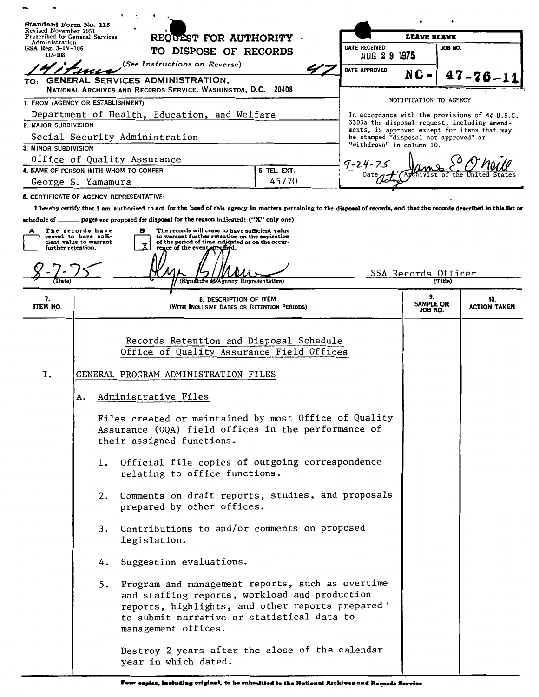| Standard Form No. 115<br>Revised November 1951                                       |                                                                     |                                                                                                                                                                                                                                                                                                                                                                                                                               |       |               |                                       |                                                                                                |  |
|--------------------------------------------------------------------------------------|---------------------------------------------------------------------|-------------------------------------------------------------------------------------------------------------------------------------------------------------------------------------------------------------------------------------------------------------------------------------------------------------------------------------------------------------------------------------------------------------------------------|-------|---------------|---------------------------------------|------------------------------------------------------------------------------------------------|--|
| Prescribed by General Services<br>Administration<br>$GSA$ Reg. $3-IV-106$<br>115-103 |                                                                     | REQUEST FOR AUTHORITY<br>TO DISPOSE OF RECORDS                                                                                                                                                                                                                                                                                                                                                                                |       | DATE RECEIVED | LEAVE BLANK<br>JOB NO.                |                                                                                                |  |
|                                                                                      |                                                                     |                                                                                                                                                                                                                                                                                                                                                                                                                               |       | AUG 2 9 1975  |                                       |                                                                                                |  |
|                                                                                      |                                                                     | (See Instructions on Reverse)                                                                                                                                                                                                                                                                                                                                                                                                 |       | DATE APPROVED |                                       |                                                                                                |  |
| TO:                                                                                  |                                                                     | GENERAL SERVICES ADMINISTRATION,                                                                                                                                                                                                                                                                                                                                                                                              |       |               | N C                                   | $47 - 76 - 11$                                                                                 |  |
|                                                                                      |                                                                     | National Archives and Records Service, Washington, D.C. 20408                                                                                                                                                                                                                                                                                                                                                                 |       |               | NOTIFICATION TO AGENCY                |                                                                                                |  |
| 1. FROM (AGENCY OR ESTABLISHMENT)                                                    |                                                                     |                                                                                                                                                                                                                                                                                                                                                                                                                               |       |               |                                       |                                                                                                |  |
| Department of Health, Education, and Welfare<br>2. MAJOR SUBDIVISION                 |                                                                     |                                                                                                                                                                                                                                                                                                                                                                                                                               |       |               |                                       | In accordance with the provisions of 44 U.S.C.<br>3303a the disposal request, including amend- |  |
| Social Security Administration                                                       |                                                                     |                                                                                                                                                                                                                                                                                                                                                                                                                               |       |               | be stamped "disposal not approved" or | ments, is approved except for items that may                                                   |  |
| 3. MINOR SUBDIVISION                                                                 |                                                                     |                                                                                                                                                                                                                                                                                                                                                                                                                               |       |               | "withdrawn" in column 10.             |                                                                                                |  |
|                                                                                      |                                                                     | Office of Quality Assurance                                                                                                                                                                                                                                                                                                                                                                                                   |       | 9-24-75       |                                       |                                                                                                |  |
| 4. NAME OF PERSON WITH WHOM TO CONFER<br>5. TEL. EXT.<br>Date                        |                                                                     |                                                                                                                                                                                                                                                                                                                                                                                                                               |       |               |                                       |                                                                                                |  |
|                                                                                      | George S. Yamamura                                                  |                                                                                                                                                                                                                                                                                                                                                                                                                               | 45770 |               |                                       |                                                                                                |  |
| 6. CERTIFICATE OF AGENCY REPRESENTATIVE:                                             |                                                                     |                                                                                                                                                                                                                                                                                                                                                                                                                               |       |               |                                       |                                                                                                |  |
|                                                                                      |                                                                     | I hereby certify that I am authorized to act for the head of this agency in matters pertaining to the disposal of records, and that the records described in this list or                                                                                                                                                                                                                                                     |       |               |                                       |                                                                                                |  |
| schedule of $\_$<br>further retention.                                               | The records have<br>ceased to have suffi-<br>cient value to warrant | pages are proposed for disposal for the reason indicated: ("X" only one)<br>The records will cease to have sufficient value<br>в<br>to warrant further retention on the expiration<br>of the period of time indigated or on the occur-<br>rence of the event apecified.                                                                                                                                                       |       |               |                                       |                                                                                                |  |
|                                                                                      |                                                                     | (Signature of Agency Representative)                                                                                                                                                                                                                                                                                                                                                                                          |       |               | SSA Records Officer<br>(Title)        |                                                                                                |  |
| 7.<br>ITEM NO.                                                                       |                                                                     | 8. DESCRIPTION OF ITEM<br>(WITH INCLUSIVE DATES OR RETENTION PERIODS)                                                                                                                                                                                                                                                                                                                                                         |       |               | 9.<br><b>SAMPLE OR</b><br>JOB NO.     | 10.<br><b>ACTION TAKEN</b>                                                                     |  |
| Ι.                                                                                   | Α.<br>1.<br>2.                                                      | Office of Quality Assurance Field Offices<br>GENERAL PROGRAM ADMINISTRATION FILES<br>Administrative Files<br>Files created or maintained by most Office of Quality<br>Assurance (OQA) field offices in the performance of<br>their assigned functions.<br>Official file copies of outgoing correspondence<br>relating to office functions.<br>Comments on draft reports, studies, and proposals<br>prepared by other offices. |       |               |                                       |                                                                                                |  |
|                                                                                      | 4.<br>5.                                                            | 3. Contributions to and/or comments on proposed<br>legislation.<br>Suggestion evaluations.<br>Program and management reports, such as overtime<br>and staffing reports, workload and production<br>reports, highlights, and other reports prepared<br>to submit narrative or statistical data to                                                                                                                              |       |               |                                       |                                                                                                |  |
|                                                                                      |                                                                     | management offices.<br>Destroy 2 years after the close of the calendar<br>year in which dated.                                                                                                                                                                                                                                                                                                                                |       |               |                                       |                                                                                                |  |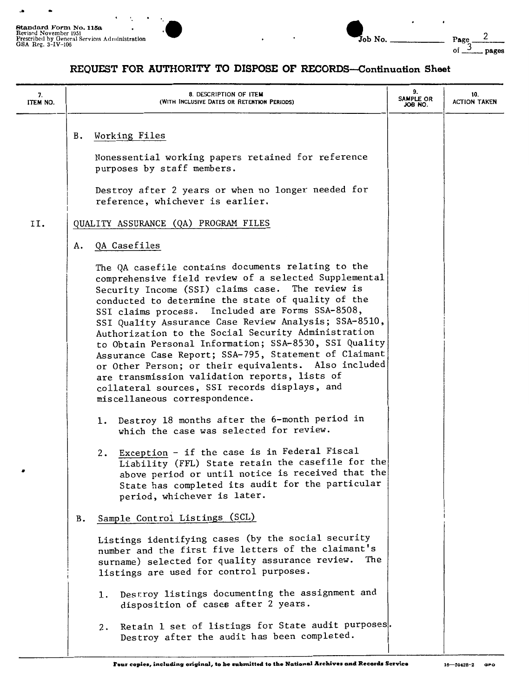

### **REQUEST FOR AUTHORITY TO DISPOSE OF RECORDS-Continuation Sheet**

| 7.<br>ITEM NO. |    | 8. DESCRIPTION OF ITEM<br>(WITH INCLUSIVE DATES OR RETENTION PERIODS)                                                                                                                                                                                                                                                                                                                                                                                                                                                                                                                                                                                                                                                                                                                                                                                                                                                                                                                                                                                    | 9.<br>SAMPLE OR<br>.OR RO. | 10.<br><b>ACTION TAKEN</b> |
|----------------|----|----------------------------------------------------------------------------------------------------------------------------------------------------------------------------------------------------------------------------------------------------------------------------------------------------------------------------------------------------------------------------------------------------------------------------------------------------------------------------------------------------------------------------------------------------------------------------------------------------------------------------------------------------------------------------------------------------------------------------------------------------------------------------------------------------------------------------------------------------------------------------------------------------------------------------------------------------------------------------------------------------------------------------------------------------------|----------------------------|----------------------------|
|                | в. | Working Files<br>Nonessential working papers retained for reference<br>purposes by staff members.                                                                                                                                                                                                                                                                                                                                                                                                                                                                                                                                                                                                                                                                                                                                                                                                                                                                                                                                                        |                            |                            |
|                |    | Destroy after 2 years or when no longer needed for<br>reference, whichever is earlier.                                                                                                                                                                                                                                                                                                                                                                                                                                                                                                                                                                                                                                                                                                                                                                                                                                                                                                                                                                   |                            |                            |
| II.            |    | QUALITY ASSURANCE (QA) PROGRAM FILES                                                                                                                                                                                                                                                                                                                                                                                                                                                                                                                                                                                                                                                                                                                                                                                                                                                                                                                                                                                                                     |                            |                            |
|                | А. | QA Casefiles                                                                                                                                                                                                                                                                                                                                                                                                                                                                                                                                                                                                                                                                                                                                                                                                                                                                                                                                                                                                                                             |                            |                            |
|                |    | The QA casefile contains documents relating to the<br>comprehensive field review of a selected Supplemental<br>Security Income (SSI) claims case. The review is<br>conducted to determine the state of quality of the<br>SSI claims process. Included are Forms SSA-8508,<br>SSI Quality Assurance Case Review Analysis; SSA-8510,<br>Authorization to the Social Security Administration<br>to Obtain Personal Information; SSA-8530, SSI Quality<br>Assurance Case Report; SSA-795, Statement of Claimant<br>or Other Person; or their equivalents. Also included<br>are transmission validation reports, lists of<br>collateral sources, SSI records displays, and<br>miscellaneous correspondence.<br>1. Destroy 18 months after the 6-month period in<br>which the case was selected for review.<br>Exception - if the case is in Federal Fiscal<br>2.<br>Liability (FFL) State retain the casefile for the<br>above period or until notice is received that the<br>State has completed its audit for the particular<br>period, whichever is later. |                            |                            |
|                | в. | Sample Control Listings (SCL)                                                                                                                                                                                                                                                                                                                                                                                                                                                                                                                                                                                                                                                                                                                                                                                                                                                                                                                                                                                                                            |                            |                            |
|                |    | Listings identifying cases (by the social security<br>number and the first five letters of the claimant's<br>surname) selected for quality assurance review.<br>The<br>listings are used for control purposes.                                                                                                                                                                                                                                                                                                                                                                                                                                                                                                                                                                                                                                                                                                                                                                                                                                           |                            |                            |
|                |    | Destroy listings documenting the assignment and<br>ı.<br>disposition of cases after 2 years.                                                                                                                                                                                                                                                                                                                                                                                                                                                                                                                                                                                                                                                                                                                                                                                                                                                                                                                                                             |                            |                            |
|                |    | Retain 1 set of listings for State audit purposes.<br>2.<br>Destroy after the audit has been completed.                                                                                                                                                                                                                                                                                                                                                                                                                                                                                                                                                                                                                                                                                                                                                                                                                                                                                                                                                  |                            |                            |